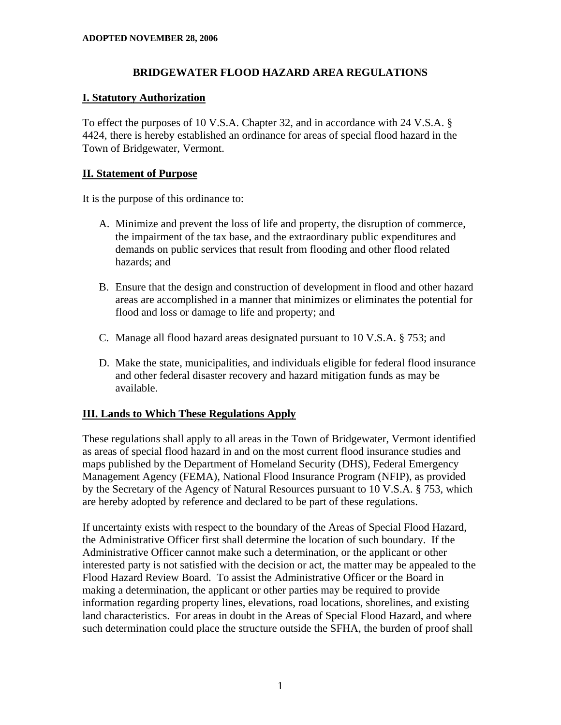#### **BRIDGEWATER FLOOD HAZARD AREA REGULATIONS**

#### **I. Statutory Authorization**

To effect the purposes of 10 V.S.A. Chapter 32, and in accordance with 24 V.S.A. § 4424, there is hereby established an ordinance for areas of special flood hazard in the Town of Bridgewater, Vermont.

#### **II. Statement of Purpose**

It is the purpose of this ordinance to:

- A. Minimize and prevent the loss of life and property, the disruption of commerce, the impairment of the tax base, and the extraordinary public expenditures and demands on public services that result from flooding and other flood related hazards; and
- B. Ensure that the design and construction of development in flood and other hazard areas are accomplished in a manner that minimizes or eliminates the potential for flood and loss or damage to life and property; and
- C. Manage all flood hazard areas designated pursuant to 10 V.S.A. § 753; and
- D. Make the state, municipalities, and individuals eligible for federal flood insurance and other federal disaster recovery and hazard mitigation funds as may be available.

# **III. Lands to Which These Regulations Apply**

These regulations shall apply to all areas in the Town of Bridgewater, Vermont identified as areas of special flood hazard in and on the most current flood insurance studies and maps published by the Department of Homeland Security (DHS), Federal Emergency Management Agency (FEMA), National Flood Insurance Program (NFIP), as provided by the Secretary of the Agency of Natural Resources pursuant to 10 V.S.A. § 753, which are hereby adopted by reference and declared to be part of these regulations.

If uncertainty exists with respect to the boundary of the Areas of Special Flood Hazard, the Administrative Officer first shall determine the location of such boundary. If the Administrative Officer cannot make such a determination, or the applicant or other interested party is not satisfied with the decision or act, the matter may be appealed to the Flood Hazard Review Board. To assist the Administrative Officer or the Board in making a determination, the applicant or other parties may be required to provide information regarding property lines, elevations, road locations, shorelines, and existing land characteristics. For areas in doubt in the Areas of Special Flood Hazard, and where such determination could place the structure outside the SFHA, the burden of proof shall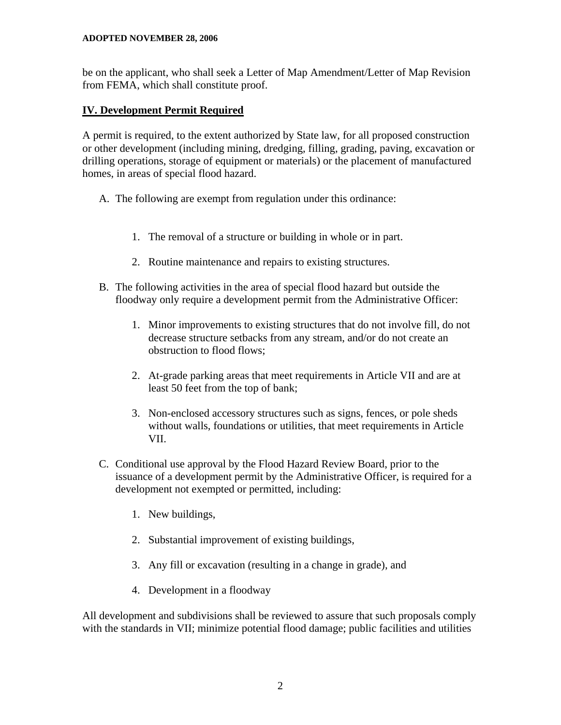be on the applicant, who shall seek a Letter of Map Amendment/Letter of Map Revision from FEMA, which shall constitute proof.

# **IV. Development Permit Required**

A permit is required, to the extent authorized by State law, for all proposed construction or other development (including mining, dredging, filling, grading, paving, excavation or drilling operations, storage of equipment or materials) or the placement of manufactured homes, in areas of special flood hazard.

- A. The following are exempt from regulation under this ordinance:
	- 1. The removal of a structure or building in whole or in part.
	- 2. Routine maintenance and repairs to existing structures.
- B. The following activities in the area of special flood hazard but outside the floodway only require a development permit from the Administrative Officer:
	- 1. Minor improvements to existing structures that do not involve fill, do not decrease structure setbacks from any stream, and/or do not create an obstruction to flood flows;
	- 2. At-grade parking areas that meet requirements in Article VII and are at least 50 feet from the top of bank;
	- 3. Non-enclosed accessory structures such as signs, fences, or pole sheds without walls, foundations or utilities, that meet requirements in Article VII.
- C. Conditional use approval by the Flood Hazard Review Board, prior to the issuance of a development permit by the Administrative Officer, is required for a development not exempted or permitted, including:
	- 1. New buildings,
	- 2. Substantial improvement of existing buildings,
	- 3. Any fill or excavation (resulting in a change in grade), and
	- 4. Development in a floodway

All development and subdivisions shall be reviewed to assure that such proposals comply with the standards in VII; minimize potential flood damage; public facilities and utilities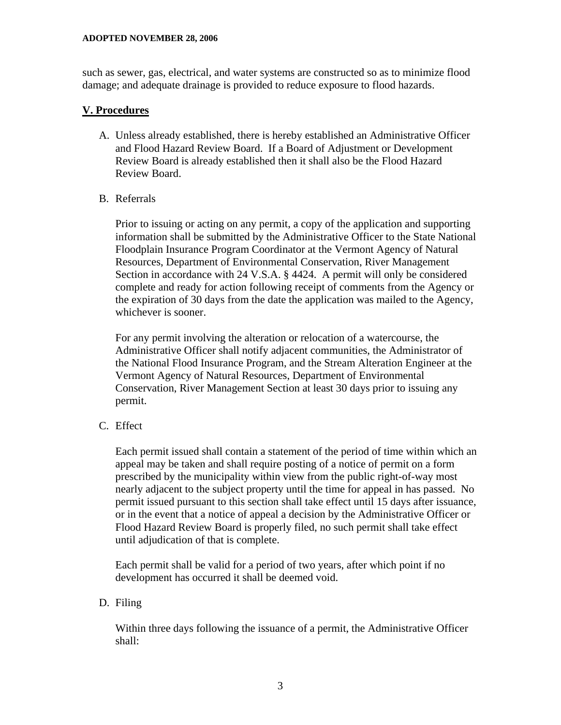such as sewer, gas, electrical, and water systems are constructed so as to minimize flood damage; and adequate drainage is provided to reduce exposure to flood hazards.

#### **V. Procedures**

- A. Unless already established, there is hereby established an Administrative Officer and Flood Hazard Review Board. If a Board of Adjustment or Development Review Board is already established then it shall also be the Flood Hazard Review Board.
- B. Referrals

 Prior to issuing or acting on any permit, a copy of the application and supporting information shall be submitted by the Administrative Officer to the State National Floodplain Insurance Program Coordinator at the Vermont Agency of Natural Resources, Department of Environmental Conservation, River Management Section in accordance with 24 V.S.A. § 4424. A permit will only be considered complete and ready for action following receipt of comments from the Agency or the expiration of 30 days from the date the application was mailed to the Agency, whichever is sooner.

 For any permit involving the alteration or relocation of a watercourse, the Administrative Officer shall notify adjacent communities, the Administrator of the National Flood Insurance Program, and the Stream Alteration Engineer at the Vermont Agency of Natural Resources, Department of Environmental Conservation, River Management Section at least 30 days prior to issuing any permit.

C. Effect

 Each permit issued shall contain a statement of the period of time within which an appeal may be taken and shall require posting of a notice of permit on a form prescribed by the municipality within view from the public right-of-way most nearly adjacent to the subject property until the time for appeal in has passed. No permit issued pursuant to this section shall take effect until 15 days after issuance, or in the event that a notice of appeal a decision by the Administrative Officer or Flood Hazard Review Board is properly filed, no such permit shall take effect until adjudication of that is complete.

 Each permit shall be valid for a period of two years, after which point if no development has occurred it shall be deemed void.

# D. Filing

 Within three days following the issuance of a permit, the Administrative Officer shall: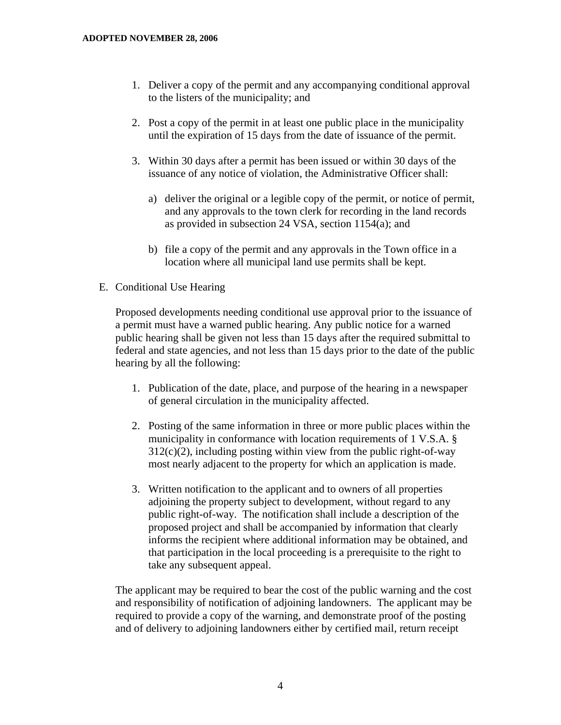- 1. Deliver a copy of the permit and any accompanying conditional approval to the listers of the municipality; and
- 2. Post a copy of the permit in at least one public place in the municipality until the expiration of 15 days from the date of issuance of the permit.
- 3. Within 30 days after a permit has been issued or within 30 days of the issuance of any notice of violation, the Administrative Officer shall:
	- a) deliver the original or a legible copy of the permit, or notice of permit, and any approvals to the town clerk for recording in the land records as provided in subsection 24 VSA, section 1154(a); and
	- b) file a copy of the permit and any approvals in the Town office in a location where all municipal land use permits shall be kept.
- E. Conditional Use Hearing

 Proposed developments needing conditional use approval prior to the issuance of a permit must have a warned public hearing. Any public notice for a warned public hearing shall be given not less than 15 days after the required submittal to federal and state agencies, and not less than 15 days prior to the date of the public hearing by all the following:

- 1. Publication of the date, place, and purpose of the hearing in a newspaper of general circulation in the municipality affected.
- 2. Posting of the same information in three or more public places within the municipality in conformance with location requirements of 1 V.S.A. §  $312(c)(2)$ , including posting within view from the public right-of-way most nearly adjacent to the property for which an application is made.
- 3. Written notification to the applicant and to owners of all properties adjoining the property subject to development, without regard to any public right-of-way. The notification shall include a description of the proposed project and shall be accompanied by information that clearly informs the recipient where additional information may be obtained, and that participation in the local proceeding is a prerequisite to the right to take any subsequent appeal.

 The applicant may be required to bear the cost of the public warning and the cost and responsibility of notification of adjoining landowners. The applicant may be required to provide a copy of the warning, and demonstrate proof of the posting and of delivery to adjoining landowners either by certified mail, return receipt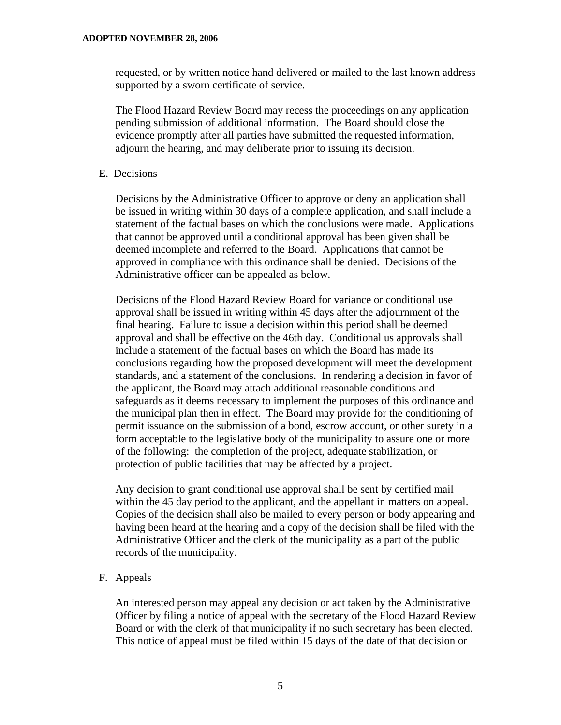requested, or by written notice hand delivered or mailed to the last known address supported by a sworn certificate of service.

 The Flood Hazard Review Board may recess the proceedings on any application pending submission of additional information. The Board should close the evidence promptly after all parties have submitted the requested information, adjourn the hearing, and may deliberate prior to issuing its decision.

E. Decisions

Decisions by the Administrative Officer to approve or deny an application shall be issued in writing within 30 days of a complete application, and shall include a statement of the factual bases on which the conclusions were made. Applications that cannot be approved until a conditional approval has been given shall be deemed incomplete and referred to the Board. Applications that cannot be approved in compliance with this ordinance shall be denied. Decisions of the Administrative officer can be appealed as below.

Decisions of the Flood Hazard Review Board for variance or conditional use approval shall be issued in writing within 45 days after the adjournment of the final hearing. Failure to issue a decision within this period shall be deemed approval and shall be effective on the 46th day. Conditional us approvals shall include a statement of the factual bases on which the Board has made its conclusions regarding how the proposed development will meet the development standards, and a statement of the conclusions. In rendering a decision in favor of the applicant, the Board may attach additional reasonable conditions and safeguards as it deems necessary to implement the purposes of this ordinance and the municipal plan then in effect. The Board may provide for the conditioning of permit issuance on the submission of a bond, escrow account, or other surety in a form acceptable to the legislative body of the municipality to assure one or more of the following: the completion of the project, adequate stabilization, or protection of public facilities that may be affected by a project.

Any decision to grant conditional use approval shall be sent by certified mail within the 45 day period to the applicant, and the appellant in matters on appeal. Copies of the decision shall also be mailed to every person or body appearing and having been heard at the hearing and a copy of the decision shall be filed with the Administrative Officer and the clerk of the municipality as a part of the public records of the municipality.

F. Appeals

An interested person may appeal any decision or act taken by the Administrative Officer by filing a notice of appeal with the secretary of the Flood Hazard Review Board or with the clerk of that municipality if no such secretary has been elected. This notice of appeal must be filed within 15 days of the date of that decision or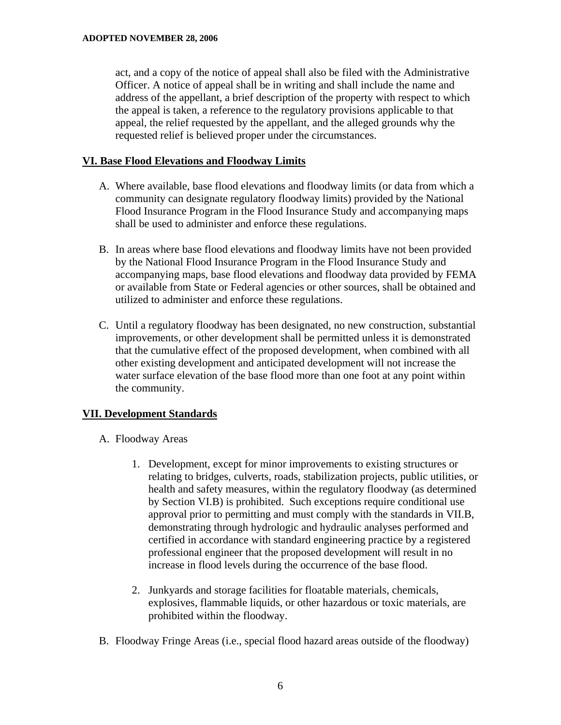act, and a copy of the notice of appeal shall also be filed with the Administrative Officer. A notice of appeal shall be in writing and shall include the name and address of the appellant, a brief description of the property with respect to which the appeal is taken, a reference to the regulatory provisions applicable to that appeal, the relief requested by the appellant, and the alleged grounds why the requested relief is believed proper under the circumstances.

#### **VI. Base Flood Elevations and Floodway Limits**

- A. Where available, base flood elevations and floodway limits (or data from which a community can designate regulatory floodway limits) provided by the National Flood Insurance Program in the Flood Insurance Study and accompanying maps shall be used to administer and enforce these regulations.
- B. In areas where base flood elevations and floodway limits have not been provided by the National Flood Insurance Program in the Flood Insurance Study and accompanying maps, base flood elevations and floodway data provided by FEMA or available from State or Federal agencies or other sources, shall be obtained and utilized to administer and enforce these regulations.
- C. Until a regulatory floodway has been designated, no new construction, substantial improvements, or other development shall be permitted unless it is demonstrated that the cumulative effect of the proposed development, when combined with all other existing development and anticipated development will not increase the water surface elevation of the base flood more than one foot at any point within the community.

# **VII. Development Standards**

- A. Floodway Areas
	- 1. Development, except for minor improvements to existing structures or relating to bridges, culverts, roads, stabilization projects, public utilities, or health and safety measures, within the regulatory floodway (as determined by Section VI.B) is prohibited. Such exceptions require conditional use approval prior to permitting and must comply with the standards in VII.B, demonstrating through hydrologic and hydraulic analyses performed and certified in accordance with standard engineering practice by a registered professional engineer that the proposed development will result in no increase in flood levels during the occurrence of the base flood.
	- 2. Junkyards and storage facilities for floatable materials, chemicals, explosives, flammable liquids, or other hazardous or toxic materials, are prohibited within the floodway.
- B. Floodway Fringe Areas (i.e., special flood hazard areas outside of the floodway)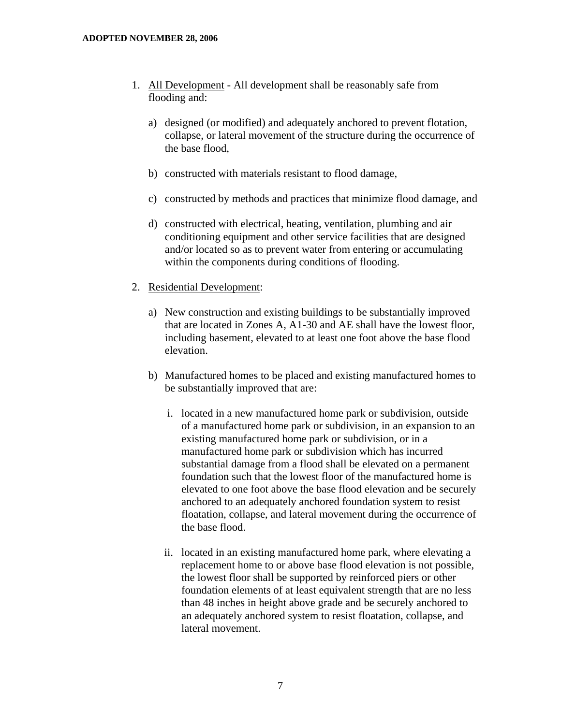- 1. All Development All development shall be reasonably safe from flooding and:
	- a) designed (or modified) and adequately anchored to prevent flotation, collapse, or lateral movement of the structure during the occurrence of the base flood,
	- b) constructed with materials resistant to flood damage,
	- c) constructed by methods and practices that minimize flood damage, and
	- d) constructed with electrical, heating, ventilation, plumbing and air conditioning equipment and other service facilities that are designed and/or located so as to prevent water from entering or accumulating within the components during conditions of flooding.

#### 2. Residential Development:

- a) New construction and existing buildings to be substantially improved that are located in Zones A, A1-30 and AE shall have the lowest floor, including basement, elevated to at least one foot above the base flood elevation.
- b) Manufactured homes to be placed and existing manufactured homes to be substantially improved that are:
	- i. located in a new manufactured home park or subdivision, outside of a manufactured home park or subdivision, in an expansion to an existing manufactured home park or subdivision, or in a manufactured home park or subdivision which has incurred substantial damage from a flood shall be elevated on a permanent foundation such that the lowest floor of the manufactured home is elevated to one foot above the base flood elevation and be securely anchored to an adequately anchored foundation system to resist floatation, collapse, and lateral movement during the occurrence of the base flood.
	- ii. located in an existing manufactured home park, where elevating a replacement home to or above base flood elevation is not possible, the lowest floor shall be supported by reinforced piers or other foundation elements of at least equivalent strength that are no less than 48 inches in height above grade and be securely anchored to an adequately anchored system to resist floatation, collapse, and lateral movement.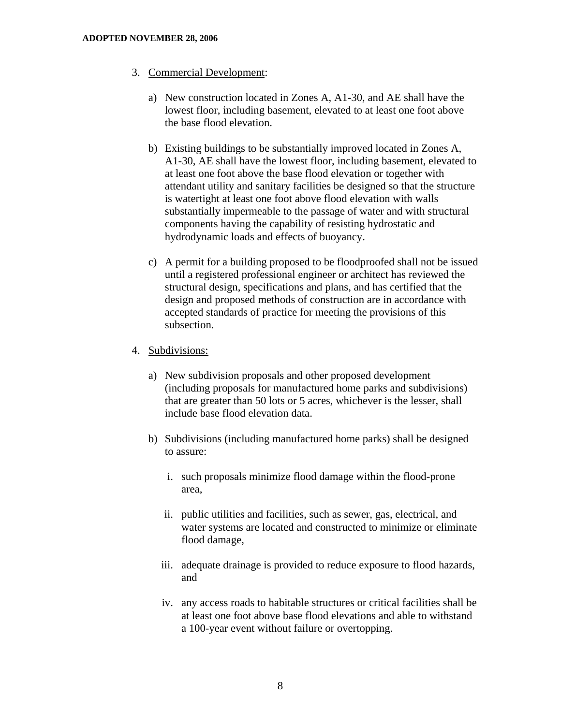- 3. Commercial Development:
	- a) New construction located in Zones A, A1-30, and AE shall have the lowest floor, including basement, elevated to at least one foot above the base flood elevation.
	- b) Existing buildings to be substantially improved located in Zones A, A1-30, AE shall have the lowest floor, including basement, elevated to at least one foot above the base flood elevation or together with attendant utility and sanitary facilities be designed so that the structure is watertight at least one foot above flood elevation with walls substantially impermeable to the passage of water and with structural components having the capability of resisting hydrostatic and hydrodynamic loads and effects of buoyancy.
	- c) A permit for a building proposed to be floodproofed shall not be issued until a registered professional engineer or architect has reviewed the structural design, specifications and plans, and has certified that the design and proposed methods of construction are in accordance with accepted standards of practice for meeting the provisions of this subsection.
- 4. Subdivisions:
	- a) New subdivision proposals and other proposed development (including proposals for manufactured home parks and subdivisions) that are greater than 50 lots or 5 acres, whichever is the lesser, shall include base flood elevation data.
	- b) Subdivisions (including manufactured home parks) shall be designed to assure:
		- i. such proposals minimize flood damage within the flood-prone area,
		- ii. public utilities and facilities, such as sewer, gas, electrical, and water systems are located and constructed to minimize or eliminate flood damage,
		- iii. adequate drainage is provided to reduce exposure to flood hazards, and
		- iv. any access roads to habitable structures or critical facilities shall be at least one foot above base flood elevations and able to withstand a 100-year event without failure or overtopping.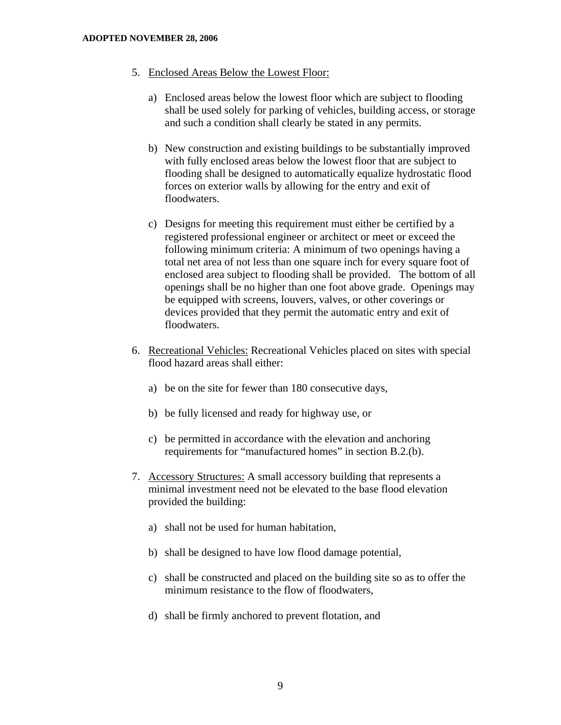- 5. Enclosed Areas Below the Lowest Floor:
	- a) Enclosed areas below the lowest floor which are subject to flooding shall be used solely for parking of vehicles, building access, or storage and such a condition shall clearly be stated in any permits.
	- b) New construction and existing buildings to be substantially improved with fully enclosed areas below the lowest floor that are subject to flooding shall be designed to automatically equalize hydrostatic flood forces on exterior walls by allowing for the entry and exit of floodwaters.
	- c) Designs for meeting this requirement must either be certified by a registered professional engineer or architect or meet or exceed the following minimum criteria: A minimum of two openings having a total net area of not less than one square inch for every square foot of enclosed area subject to flooding shall be provided. The bottom of all openings shall be no higher than one foot above grade. Openings may be equipped with screens, louvers, valves, or other coverings or devices provided that they permit the automatic entry and exit of floodwaters.
- 6. Recreational Vehicles: Recreational Vehicles placed on sites with special flood hazard areas shall either:
	- a) be on the site for fewer than 180 consecutive days,
	- b) be fully licensed and ready for highway use, or
	- c) be permitted in accordance with the elevation and anchoring requirements for "manufactured homes" in section B.2.(b).
- 7. Accessory Structures: A small accessory building that represents a minimal investment need not be elevated to the base flood elevation provided the building:
	- a) shall not be used for human habitation,
	- b) shall be designed to have low flood damage potential,
	- c) shall be constructed and placed on the building site so as to offer the minimum resistance to the flow of floodwaters,
	- d) shall be firmly anchored to prevent flotation, and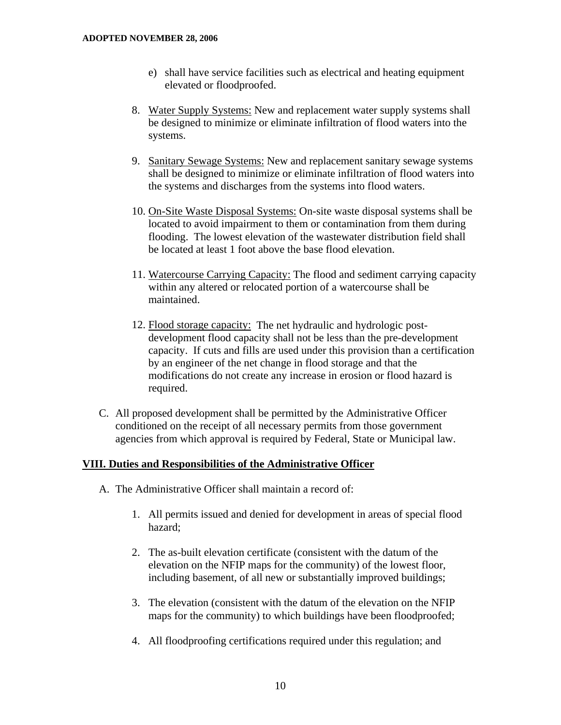- e) shall have service facilities such as electrical and heating equipment elevated or floodproofed.
- 8. Water Supply Systems: New and replacement water supply systems shall be designed to minimize or eliminate infiltration of flood waters into the systems.
- 9. Sanitary Sewage Systems: New and replacement sanitary sewage systems shall be designed to minimize or eliminate infiltration of flood waters into the systems and discharges from the systems into flood waters.
- 10. On-Site Waste Disposal Systems: On-site waste disposal systems shall be located to avoid impairment to them or contamination from them during flooding. The lowest elevation of the wastewater distribution field shall be located at least 1 foot above the base flood elevation.
- 11. Watercourse Carrying Capacity: The flood and sediment carrying capacity within any altered or relocated portion of a watercourse shall be maintained.
- 12. Flood storage capacity: The net hydraulic and hydrologic postdevelopment flood capacity shall not be less than the pre-development capacity. If cuts and fills are used under this provision than a certification by an engineer of the net change in flood storage and that the modifications do not create any increase in erosion or flood hazard is required.
- C. All proposed development shall be permitted by the Administrative Officer conditioned on the receipt of all necessary permits from those government agencies from which approval is required by Federal, State or Municipal law.

# **VIII. Duties and Responsibilities of the Administrative Officer**

- A. The Administrative Officer shall maintain a record of:
	- 1. All permits issued and denied for development in areas of special flood hazard;
	- 2. The as-built elevation certificate (consistent with the datum of the elevation on the NFIP maps for the community) of the lowest floor, including basement, of all new or substantially improved buildings;
	- 3. The elevation (consistent with the datum of the elevation on the NFIP maps for the community) to which buildings have been floodproofed;
	- 4. All floodproofing certifications required under this regulation; and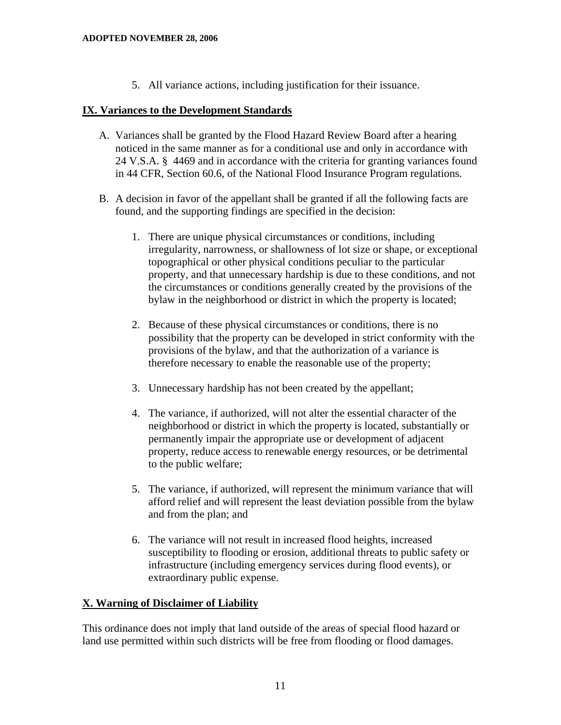5. All variance actions, including justification for their issuance.

#### **IX. Variances to the Development Standards**

- A. Variances shall be granted by the Flood Hazard Review Board after a hearing noticed in the same manner as for a conditional use and only in accordance with 24 V.S.A. § 4469 and in accordance with the criteria for granting variances found in 44 CFR, Section 60.6, of the National Flood Insurance Program regulations.
- B. A decision in favor of the appellant shall be granted if all the following facts are found, and the supporting findings are specified in the decision:
	- 1. There are unique physical circumstances or conditions, including irregularity, narrowness, or shallowness of lot size or shape, or exceptional topographical or other physical conditions peculiar to the particular property, and that unnecessary hardship is due to these conditions, and not the circumstances or conditions generally created by the provisions of the bylaw in the neighborhood or district in which the property is located;
	- 2. Because of these physical circumstances or conditions, there is no possibility that the property can be developed in strict conformity with the provisions of the bylaw, and that the authorization of a variance is therefore necessary to enable the reasonable use of the property;
	- 3. Unnecessary hardship has not been created by the appellant;
	- 4. The variance, if authorized, will not alter the essential character of the neighborhood or district in which the property is located, substantially or permanently impair the appropriate use or development of adjacent property, reduce access to renewable energy resources, or be detrimental to the public welfare;
	- 5. The variance, if authorized, will represent the minimum variance that will afford relief and will represent the least deviation possible from the bylaw and from the plan; and
	- 6. The variance will not result in increased flood heights, increased susceptibility to flooding or erosion, additional threats to public safety or infrastructure (including emergency services during flood events), or extraordinary public expense.

# **X. Warning of Disclaimer of Liability**

This ordinance does not imply that land outside of the areas of special flood hazard or land use permitted within such districts will be free from flooding or flood damages.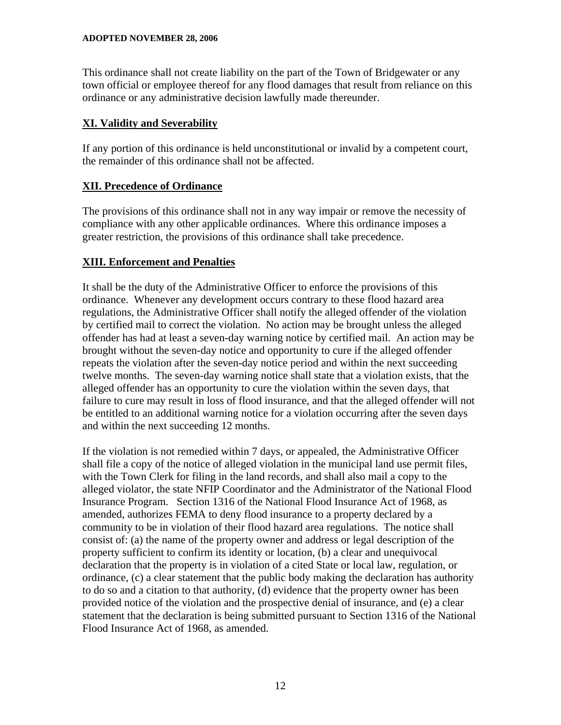This ordinance shall not create liability on the part of the Town of Bridgewater or any town official or employee thereof for any flood damages that result from reliance on this ordinance or any administrative decision lawfully made thereunder.

#### **XI. Validity and Severability**

If any portion of this ordinance is held unconstitutional or invalid by a competent court, the remainder of this ordinance shall not be affected.

# **XII. Precedence of Ordinance**

The provisions of this ordinance shall not in any way impair or remove the necessity of compliance with any other applicable ordinances. Where this ordinance imposes a greater restriction, the provisions of this ordinance shall take precedence.

# **XIII. Enforcement and Penalties**

It shall be the duty of the Administrative Officer to enforce the provisions of this ordinance. Whenever any development occurs contrary to these flood hazard area regulations, the Administrative Officer shall notify the alleged offender of the violation by certified mail to correct the violation. No action may be brought unless the alleged offender has had at least a seven-day warning notice by certified mail. An action may be brought without the seven-day notice and opportunity to cure if the alleged offender repeats the violation after the seven-day notice period and within the next succeeding twelve months. The seven-day warning notice shall state that a violation exists, that the alleged offender has an opportunity to cure the violation within the seven days, that failure to cure may result in loss of flood insurance, and that the alleged offender will not be entitled to an additional warning notice for a violation occurring after the seven days and within the next succeeding 12 months.

If the violation is not remedied within 7 days, or appealed, the Administrative Officer shall file a copy of the notice of alleged violation in the municipal land use permit files, with the Town Clerk for filing in the land records, and shall also mail a copy to the alleged violator, the state NFIP Coordinator and the Administrator of the National Flood Insurance Program. Section 1316 of the National Flood Insurance Act of 1968, as amended, authorizes FEMA to deny flood insurance to a property declared by a community to be in violation of their flood hazard area regulations. The notice shall consist of: (a) the name of the property owner and address or legal description of the property sufficient to confirm its identity or location, (b) a clear and unequivocal declaration that the property is in violation of a cited State or local law, regulation, or ordinance, (c) a clear statement that the public body making the declaration has authority to do so and a citation to that authority, (d) evidence that the property owner has been provided notice of the violation and the prospective denial of insurance, and (e) a clear statement that the declaration is being submitted pursuant to Section 1316 of the National Flood Insurance Act of 1968, as amended.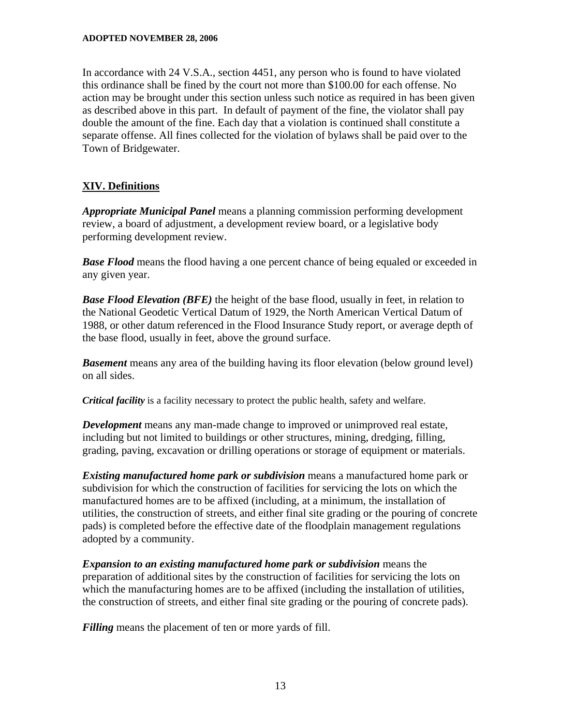In accordance with 24 V.S.A., section 4451, any person who is found to have violated this ordinance shall be fined by the court not more than \$100.00 for each offense. No action may be brought under this section unless such notice as required in has been given as described above in this part. In default of payment of the fine, the violator shall pay double the amount of the fine. Each day that a violation is continued shall constitute a separate offense. All fines collected for the violation of bylaws shall be paid over to the Town of Bridgewater.

# **XIV. Definitions**

*Appropriate Municipal Panel* means a planning commission performing development review, a board of adjustment, a development review board, or a legislative body performing development review.

*Base Flood* means the flood having a one percent chance of being equaled or exceeded in any given year.

*Base Flood Elevation (BFE)* the height of the base flood, usually in feet, in relation to the National Geodetic Vertical Datum of 1929, the North American Vertical Datum of 1988, or other datum referenced in the Flood Insurance Study report, or average depth of the base flood, usually in feet, above the ground surface.

*Basement* means any area of the building having its floor elevation (below ground level) on all sides.

*Critical facility* is a facility necessary to protect the public health, safety and welfare.

*Development* means any man-made change to improved or unimproved real estate, including but not limited to buildings or other structures, mining, dredging, filling, grading, paving, excavation or drilling operations or storage of equipment or materials.

*Existing manufactured home park or subdivision* means a manufactured home park or subdivision for which the construction of facilities for servicing the lots on which the manufactured homes are to be affixed (including, at a minimum, the installation of utilities, the construction of streets, and either final site grading or the pouring of concrete pads) is completed before the effective date of the floodplain management regulations adopted by a community.

*Expansion to an existing manufactured home park or subdivision* means the preparation of additional sites by the construction of facilities for servicing the lots on which the manufacturing homes are to be affixed (including the installation of utilities, the construction of streets, and either final site grading or the pouring of concrete pads).

*Filling* means the placement of ten or more yards of fill.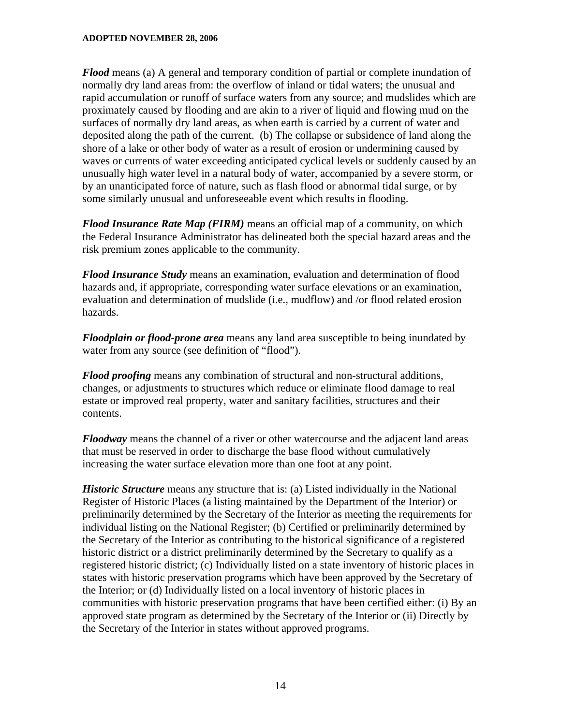*Flood* means (a) A general and temporary condition of partial or complete inundation of normally dry land areas from: the overflow of inland or tidal waters; the unusual and rapid accumulation or runoff of surface waters from any source; and mudslides which are proximately caused by flooding and are akin to a river of liquid and flowing mud on the surfaces of normally dry land areas, as when earth is carried by a current of water and deposited along the path of the current. (b) The collapse or subsidence of land along the shore of a lake or other body of water as a result of erosion or undermining caused by waves or currents of water exceeding anticipated cyclical levels or suddenly caused by an unusually high water level in a natural body of water, accompanied by a severe storm, or by an unanticipated force of nature, such as flash flood or abnormal tidal surge, or by some similarly unusual and unforeseeable event which results in flooding.

*Flood Insurance Rate Map (FIRM)* means an official map of a community, on which the Federal Insurance Administrator has delineated both the special hazard areas and the risk premium zones applicable to the community.

*Flood Insurance Study* means an examination, evaluation and determination of flood hazards and, if appropriate, corresponding water surface elevations or an examination, evaluation and determination of mudslide (i.e., mudflow) and /or flood related erosion hazards.

*Floodplain or flood-prone area* means any land area susceptible to being inundated by water from any source (see definition of "flood").

*Flood proofing* means any combination of structural and non-structural additions, changes, or adjustments to structures which reduce or eliminate flood damage to real estate or improved real property, water and sanitary facilities, structures and their contents.

*Floodway* means the channel of a river or other watercourse and the adjacent land areas that must be reserved in order to discharge the base flood without cumulatively increasing the water surface elevation more than one foot at any point.

*Historic Structure* means any structure that is: (a) Listed individually in the National Register of Historic Places (a listing maintained by the Department of the Interior) or preliminarily determined by the Secretary of the Interior as meeting the requirements for individual listing on the National Register; (b) Certified or preliminarily determined by the Secretary of the Interior as contributing to the historical significance of a registered historic district or a district preliminarily determined by the Secretary to qualify as a registered historic district; (c) Individually listed on a state inventory of historic places in states with historic preservation programs which have been approved by the Secretary of the Interior; or (d) Individually listed on a local inventory of historic places in communities with historic preservation programs that have been certified either: (i) By an approved state program as determined by the Secretary of the Interior or (ii) Directly by the Secretary of the Interior in states without approved programs.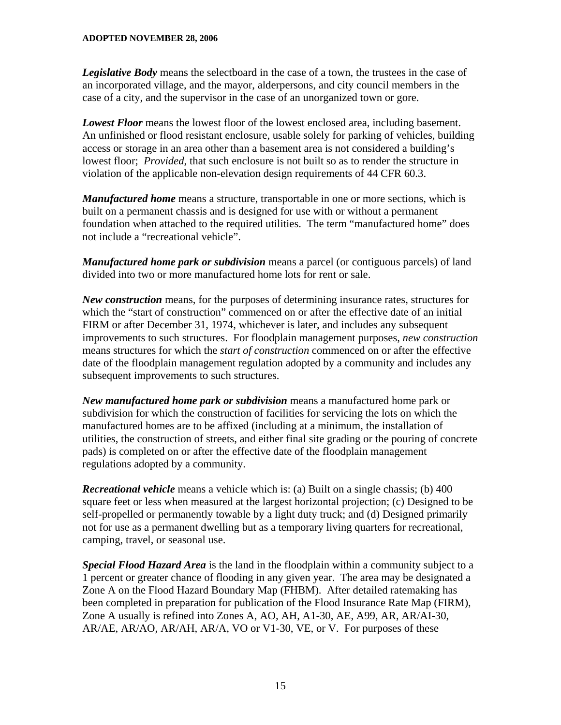*Legislative Body* means the selectboard in the case of a town, the trustees in the case of an incorporated village, and the mayor, alderpersons, and city council members in the case of a city, and the supervisor in the case of an unorganized town or gore.

*Lowest Floor* means the lowest floor of the lowest enclosed area, including basement. An unfinished or flood resistant enclosure, usable solely for parking of vehicles, building access or storage in an area other than a basement area is not considered a building's lowest floor; *Provided*, that such enclosure is not built so as to render the structure in violation of the applicable non-elevation design requirements of 44 CFR 60.3.

*Manufactured home* means a structure, transportable in one or more sections, which is built on a permanent chassis and is designed for use with or without a permanent foundation when attached to the required utilities. The term "manufactured home" does not include a "recreational vehicle".

*Manufactured home park or subdivision* means a parcel (or contiguous parcels) of land divided into two or more manufactured home lots for rent or sale.

*New construction* means, for the purposes of determining insurance rates, structures for which the "start of construction" commenced on or after the effective date of an initial FIRM or after December 31, 1974, whichever is later, and includes any subsequent improvements to such structures. For floodplain management purposes, *new construction* means structures for which the *start of construction* commenced on or after the effective date of the floodplain management regulation adopted by a community and includes any subsequent improvements to such structures.

*New manufactured home park or subdivision* means a manufactured home park or subdivision for which the construction of facilities for servicing the lots on which the manufactured homes are to be affixed (including at a minimum, the installation of utilities, the construction of streets, and either final site grading or the pouring of concrete pads) is completed on or after the effective date of the floodplain management regulations adopted by a community.

*Recreational vehicle* means a vehicle which is: (a) Built on a single chassis; (b) 400 square feet or less when measured at the largest horizontal projection; (c) Designed to be self-propelled or permanently towable by a light duty truck; and (d) Designed primarily not for use as a permanent dwelling but as a temporary living quarters for recreational, camping, travel, or seasonal use.

*Special Flood Hazard Area* is the land in the floodplain within a community subject to a 1 percent or greater chance of flooding in any given year. The area may be designated a Zone A on the Flood Hazard Boundary Map (FHBM). After detailed ratemaking has been completed in preparation for publication of the Flood Insurance Rate Map (FIRM), Zone A usually is refined into Zones A, AO, AH, A1-30, AE, A99, AR, AR/AI-30, AR/AE, AR/AO, AR/AH, AR/A, VO or V1-30, VE, or V. For purposes of these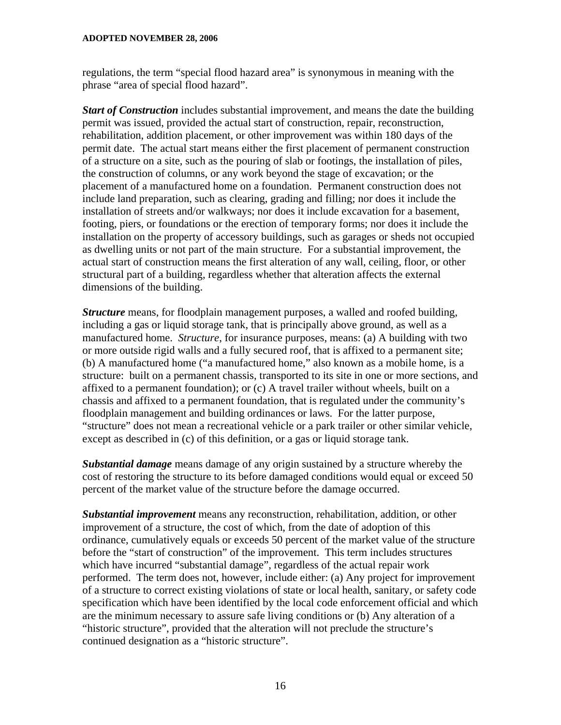regulations, the term "special flood hazard area" is synonymous in meaning with the phrase "area of special flood hazard".

*Start of Construction* includes substantial improvement, and means the date the building permit was issued, provided the actual start of construction, repair, reconstruction, rehabilitation, addition placement, or other improvement was within 180 days of the permit date. The actual start means either the first placement of permanent construction of a structure on a site, such as the pouring of slab or footings, the installation of piles, the construction of columns, or any work beyond the stage of excavation; or the placement of a manufactured home on a foundation. Permanent construction does not include land preparation, such as clearing, grading and filling; nor does it include the installation of streets and/or walkways; nor does it include excavation for a basement, footing, piers, or foundations or the erection of temporary forms; nor does it include the installation on the property of accessory buildings, such as garages or sheds not occupied as dwelling units or not part of the main structure. For a substantial improvement, the actual start of construction means the first alteration of any wall, ceiling, floor, or other structural part of a building, regardless whether that alteration affects the external dimensions of the building.

*Structure* means, for floodplain management purposes, a walled and roofed building, including a gas or liquid storage tank, that is principally above ground, as well as a manufactured home. *Structure*, for insurance purposes, means: (a) A building with two or more outside rigid walls and a fully secured roof, that is affixed to a permanent site; (b) A manufactured home ("a manufactured home," also known as a mobile home, is a structure: built on a permanent chassis, transported to its site in one or more sections, and affixed to a permanent foundation); or (c) A travel trailer without wheels, built on a chassis and affixed to a permanent foundation, that is regulated under the community's floodplain management and building ordinances or laws. For the latter purpose, "structure" does not mean a recreational vehicle or a park trailer or other similar vehicle, except as described in (c) of this definition, or a gas or liquid storage tank.

*Substantial damage* means damage of any origin sustained by a structure whereby the cost of restoring the structure to its before damaged conditions would equal or exceed 50 percent of the market value of the structure before the damage occurred.

*Substantial improvement* means any reconstruction, rehabilitation, addition, or other improvement of a structure, the cost of which, from the date of adoption of this ordinance, cumulatively equals or exceeds 50 percent of the market value of the structure before the "start of construction" of the improvement. This term includes structures which have incurred "substantial damage", regardless of the actual repair work performed. The term does not, however, include either: (a) Any project for improvement of a structure to correct existing violations of state or local health, sanitary, or safety code specification which have been identified by the local code enforcement official and which are the minimum necessary to assure safe living conditions or (b) Any alteration of a "historic structure", provided that the alteration will not preclude the structure's continued designation as a "historic structure".